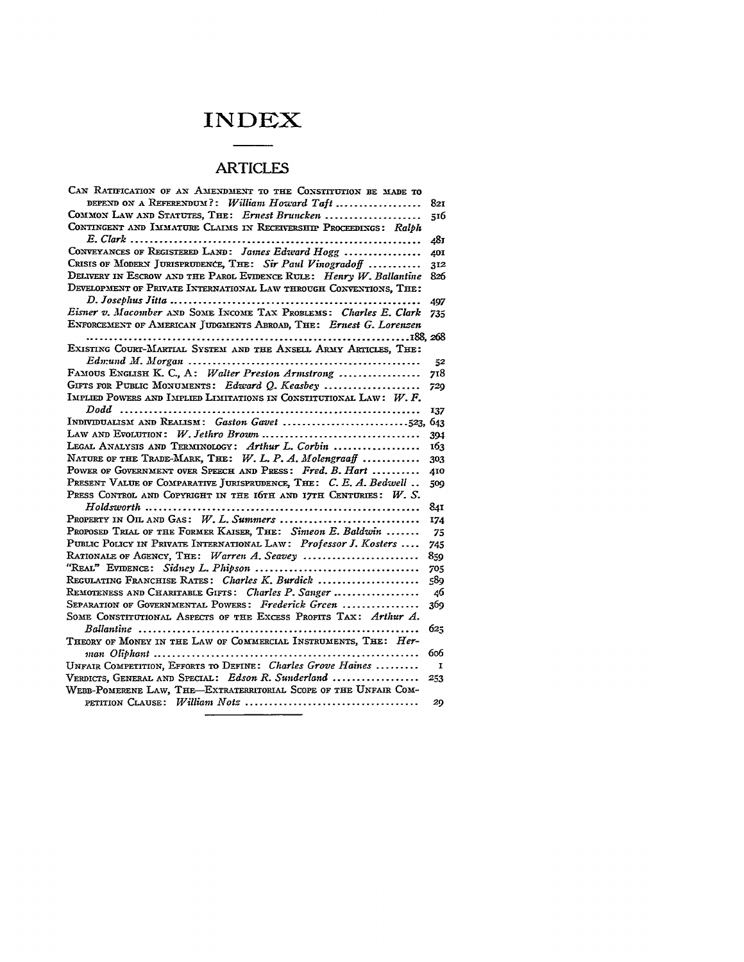## **INDEX**

## **ARTICLES**

| CAN RATIFICATION OF AN AMENDMENT TO THE CONSTITUTION BE MADE TO        |              |
|------------------------------------------------------------------------|--------------|
| DEPEND ON A REFERENDUM?: William Howard Taft                           | 821          |
| COMMON LAW AND STATUTES, THE: Ernest Bruncken                          | 516          |
| CONTINGENT AND IMMATURE CLAIMS IN RECEIVERSHIP PROCEEDINGS: Ralph      |              |
|                                                                        | 481          |
| CONVEYANCES OF REGISTERED LAND: James Edward Hogg                      | 40I          |
| CRISIS OF MODERN JURISPRUDENCE, THE: Sir Paul Vinogradoff              | 312          |
| DELIVERY IN ESCROW AND THE PAROL EVIDENCE RULE: Henry $W$ . Ballantine | 826          |
| DEVELOPMENT OF PRIVATE INTERNATIONAL LAW THROUGH CONVENTIONS, THE:     |              |
|                                                                        | 497          |
| Eisner v. Macomber AND SOME INCOME TAX PROBLEMS: Charles E. Clark      | 735          |
| ENFORCEMENT OF AMERICAN JUDGMENTS ABROAD, THE: Ernest G. Lorenzen      |              |
|                                                                        |              |
| EXISTING COURT-MARTIAL SYSTEM AND THE ANSELL ARMY ARTICLES, THE:       |              |
|                                                                        | 52           |
| FAMOUS ENGLISH K. C., A: Walter Preston Armstrong                      | 718          |
| GIFTS FOR PUBLIC MONUMENTS: Edward Q. Keasbey                          | 729          |
| IMPLIED POWERS AND IMPLIED LIMITATIONS IN CONSTITUTIONAL LAW: $W. F.$  |              |
| Dodd                                                                   | 137          |
|                                                                        |              |
| LAW AND EVOLUTION: $W$ . Jethro Brown                                  | 394          |
| LEGAL ANALYSIS AND TERMINOLOGY: Arthur L. Corbin                       | 163          |
| NATURE OF THE TRADE-MARK, THE: $W. L. P. A. Molengradf$                | 303          |
| POWER OF GOVERNMENT OVER SPEECH AND PRESS: Fred. B. Hart               | 410          |
| PRESENT VALUE OF COMPARATIVE JURISPRUDENCE, THE: C. E. A. Bedwell      | 509          |
| PRESS CONTROL AND COPYRIGHT IN THE IGTH AND ITTH CENTURIES: $W$ . S.   |              |
|                                                                        | 841          |
| PROPERTY IN OIL AND GAS: $W. L.$ Summers                               | 174          |
| PROPOSED TRIAL OF THE FORMER KAISER, THE: Simeon E. Baldwin            | 75           |
| PUBLIC POLICY IN PRIVATE INTERNATIONAL LAW: Professor J. Kosters       | 745          |
| RATIONALE OF AGENCY, THE: Warren A. Seavey                             | 859          |
|                                                                        | 705          |
| REGULATING FRANCHISE RATES: Charles K. Burdick                         | 589          |
| REMOTENESS AND CHARITABLE GIFTS: Charles P. Sanger                     | 46           |
| SEPARATION OF GOVERNMENTAL POWERS: Frederick Green                     | 369          |
| SOME CONSTITUTIONAL ASPECTS OF THE EXCESS PROFITS TAX: Arthur A.       |              |
|                                                                        | 625          |
| THEORY OF MONEY IN THE LAW OF COMMERCIAL INSTRUMENTS, THE: Her-        |              |
|                                                                        | 606          |
| UNFAIR COMPETITION, EFFORTS TO DEFINE: Charles Grove Haines            | $\mathbf{I}$ |
| VERDICTS, GENERAL AND SPECIAL: Edson R. Sunderland                     | 253          |
| WEBB-POMERENE LAW, THE-EXTRATERRITORIAL SCOPE OF THE UNFAIR COM-       |              |
|                                                                        | 29           |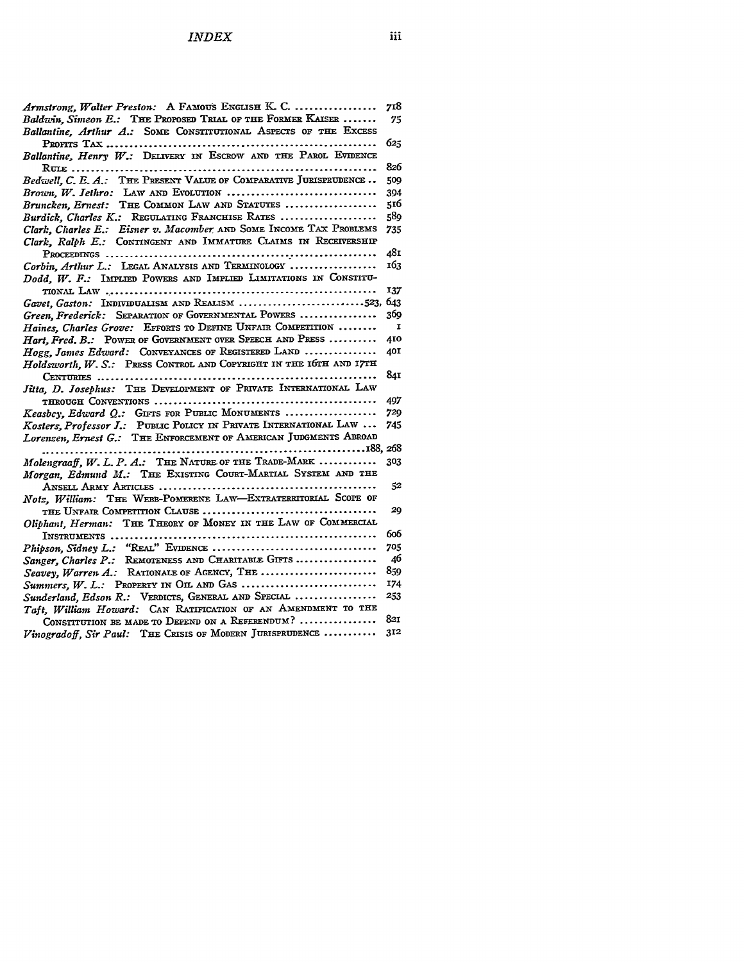| Armstrong, Walter Preston: A FAMOUS ENGLISH K. C.                   | 718          |
|---------------------------------------------------------------------|--------------|
| Baldwin, Simeon E.: THE PROPOSED TRIAL OF THE FORMER KAISER         | 75           |
| Ballantine, Arthur A.: SOME CONSTITUTIONAL ASPECTS OF THE EXCESS    |              |
|                                                                     | 623          |
| Ballantine, Henry W.: DELIVERY IN ESCROW AND THE PAROL EVIDENCE     |              |
|                                                                     | 826          |
| Bedwell, C. E. A.: THE PRESENT VALUE OF COMPARATIVE JURISPRUDENCE   | 509          |
| Brown, W. Jethro: LAW AND EVOLUTION                                 | 394          |
| Bruncken, Ernest: THE COMMON LAW AND STATUTES                       | 516          |
| Burdick, Charles K.: REGULATING FRANCHISE RATES                     | 589          |
| Clark, Charles E.: Eisner v. Macomber AND SOME INCOME TAX PROBLEMS  | 735          |
| Clark, Ralph E.: CONTINGENT AND IMMATURE CLAIMS IN RECEIVERSHIP     |              |
|                                                                     | 481          |
| Corbin, Arthur L.: LEGAL ANALYSIS AND TERMINOLOGY                   | 163          |
| Dodd, W. F.: IMPLIED POWERS AND IMPLIED LIMITATIONS IN CONSTITU-    |              |
|                                                                     | 137          |
| Gavet, Gaston: INDIVIDUALISM AND REALISM 523, 643                   |              |
| Green, Frederick: SEPARATION OF GOVERNMENTAL POWERS                 | 369          |
| Haines, Charles Grove: EFFORTS TO DEFINE UNFAIR COMPETITION         | $\mathbf{I}$ |
| Hart, Fred. B.: POWER OF GOVERNMENT OVER SPEECH AND PRESS           | 410          |
| Hogg, James Edward: CONVEYANCES OF REGISTERED LAND                  | 40I          |
| Holdsworth, W. S.: PRESS CONTROL AND COPYRIGHT IN THE 16TH AND 17TH |              |
|                                                                     | 841          |
| Jitta, D. Josephus: THE DEVELOPMENT OF PRIVATE INTERNATIONAL LAW    |              |
|                                                                     | 497          |
| Keasbey, Edward Q.: GIFTS FOR PUBLIC MONUMENTS                      | 729          |
| Kosters, Professor J.: PUBLIC POLICY IN PRIVATE INTERNATIONAL LAW   | 745          |
| Lorenzen, Ernest G.: THE ENFORCEMENT OF AMERICAN JUDGMENTS ABROAD   |              |
|                                                                     |              |
| Molengraaff, W. L. P. A.: THE NATURE OF THE TRADE-MARK              | 303          |
| Morgan, Edmund M.: THE EXISTING COURT-MARTIAL SYSTEM AND THE        |              |
|                                                                     | 52           |
| Notz, William: THE WEBB-POMERENE LAW-EXTRATERRITORIAL SCOPE OF      |              |
|                                                                     | 20           |
| Oliphant, Herman: THE THEORY OF MONEY IN THE LAW OF COMMERCIAL      |              |
|                                                                     | 606          |
|                                                                     | 705          |
| Sanger, Charles P.: REMOTENESS AND CHARITABLE GIFTS                 | 46           |
| Seavey, Warren A.: RATIONALE OF AGENCY, THE                         | 859          |
| Summers, W. L.: PROPERTY IN OIL AND GAS                             | 174          |
| Sunderland, Edson R.: VERDICTS, GENERAL AND SPECIAL                 | 253          |
| Taft, William Howard: CAN RATIFICATION OF AN AMENDMENT TO THE       |              |
| CONSTITUTION BE MADE TO DEPEND ON A REFERENDUM?                     | 821          |
| Vinogradoff, Sir Paul: THE CRISIS OF MODERN JURISPRUDENCE           | 312          |
|                                                                     |              |